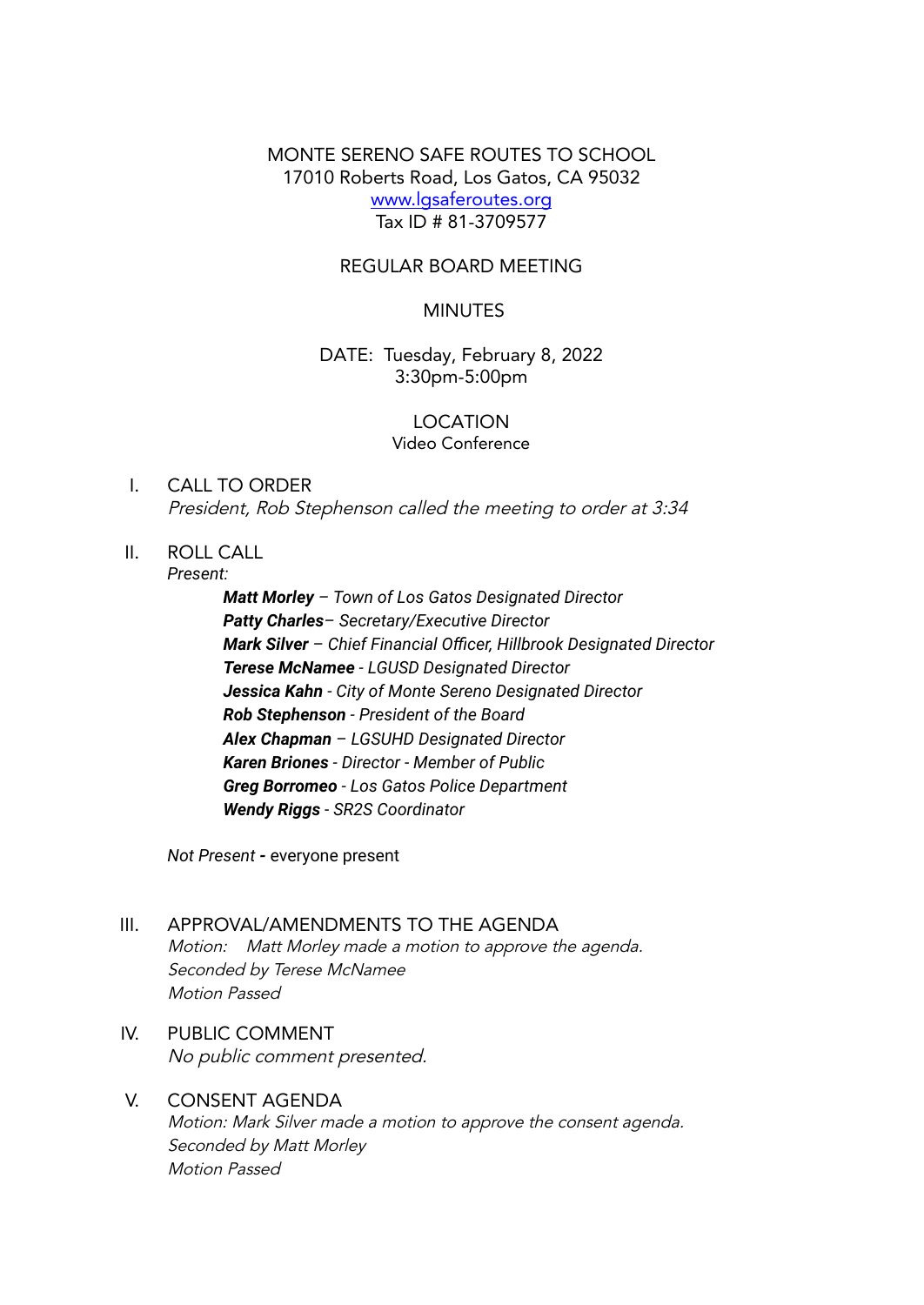MONTE SERENO SAFE ROUTES TO SCHOOL 17010 Roberts Road, Los Gatos, CA 95032 www.lgsaferoutes.org Tax ID # 81-3709577

### REGULAR BOARD MEETING

### **MINUTES**

DATE: Tuesday, February 8, 2022 3:30pm-5:00pm

### LOCATION Video Conference

- I. CALL TO ORDER President, Rob Stephenson called the meeting to order at 3:34
- II. ROLL CALL *Present:*

*Matt Morley – Town of Los Gatos Designated Director Patty Charles– Secretary/Executive Director Mark Silver – Chief Financial Officer, Hillbrook Designated Director Terese McNamee - LGUSD Designated Director Jessica Kahn - City of Monte Sereno Designated Director Rob Stephenson - President of the Board Alex Chapman – LGSUHD Designated Director Karen Briones - Director - Member of Public Greg Borromeo - Los Gatos Police Department Wendy Riggs - SR2S Coordinator*

*Not Present -* everyone present

- III. APPROVAL/AMENDMENTS TO THE AGENDA Motion: Matt Morley made <sup>a</sup> motion to approve the agenda. Seconded by Terese McNamee Motion Passed
- IV. PUBLIC COMMENT No public comment presented.
- V. CONSENT AGENDA Motion: Mark Silver made <sup>a</sup> motion to approve the consent agenda. Seconded by Matt Morley Motion Passed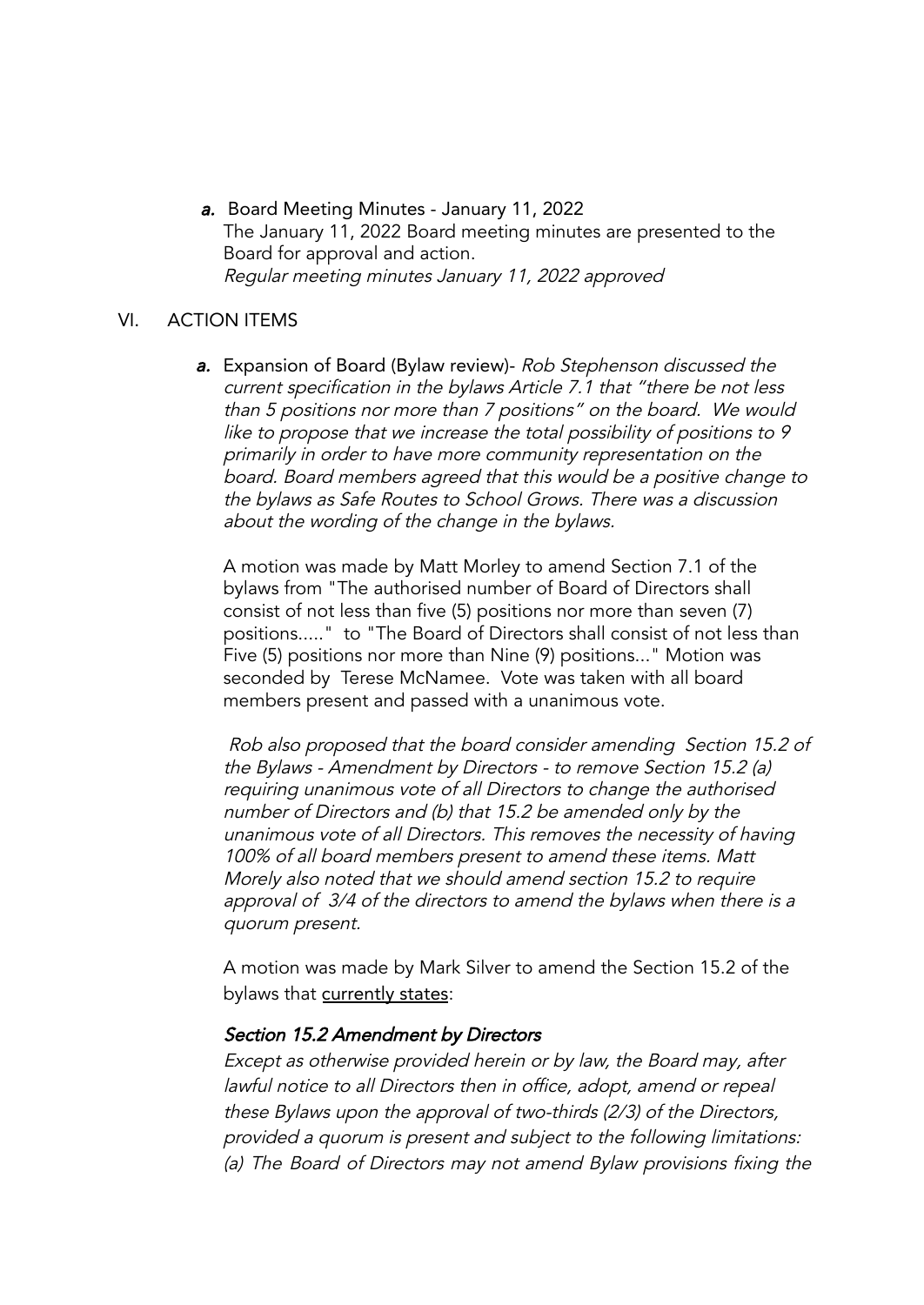a. Board Meeting Minutes - January 11, 2022 The January 11, 2022 Board meeting minutes are presented to the Board for approval and action. Regular meeting minutes January 11, 2022 approved

### VI. ACTION ITEMS

a. Expansion of Board (Bylaw review)- Rob Stephenson discussed the current specification in the bylaws Article 7.1 that "there be not less than <sup>5</sup> positions nor more than <sup>7</sup> positions" on the board. We would like to propose that we increase the total possibility of positions to <sup>9</sup> primarily in order to have more community representation on the board. Board members agreed that this would be <sup>a</sup> positive change to the bylaws as Safe Routes to School Grows. There was <sup>a</sup> discussion about the wording of the change in the bylaws.

A motion was made by Matt Morley to amend Section 7.1 of the bylaws from "The authorised number of Board of Directors shall consist of not less than five (5) positions nor more than seven (7) positions....." to "The Board of Directors shall consist of not less than Five (5) positions nor more than Nine (9) positions..." Motion was seconded by Terese McNamee. Vote was taken with all board members present and passed with a unanimous vote.

Rob also proposed that the board consider amending Section 15.2 of the Bylaws - Amendment by Directors - to remove Section 15.2 (a) requiring unanimous vote of all Directors to change the authorised number of Directors and (b) that 15.2 be amended only by the unanimous vote of all Directors. This removes the necessity of having 100% of all board members present to amend these items. Matt Morely also noted that we should amend section 15.2 to require approval of 3/4 of the directors to amend the bylaws when there is <sup>a</sup> quorum present.

A motion was made by Mark Silver to amend the Section 15.2 of the bylaws that currently states:

### Section 15.2 Amendment by Directors

Except as otherwise provided herein or by law, the Board may, after lawful notice to all Directors then in office, adopt, amend or repeal these Bylaws upon the approval of two-thirds (2/3) of the Directors, provided <sup>a</sup> quorum is present and subject to the following limitations: (a) The Board of Directors may not amend Bylaw provisions fixing the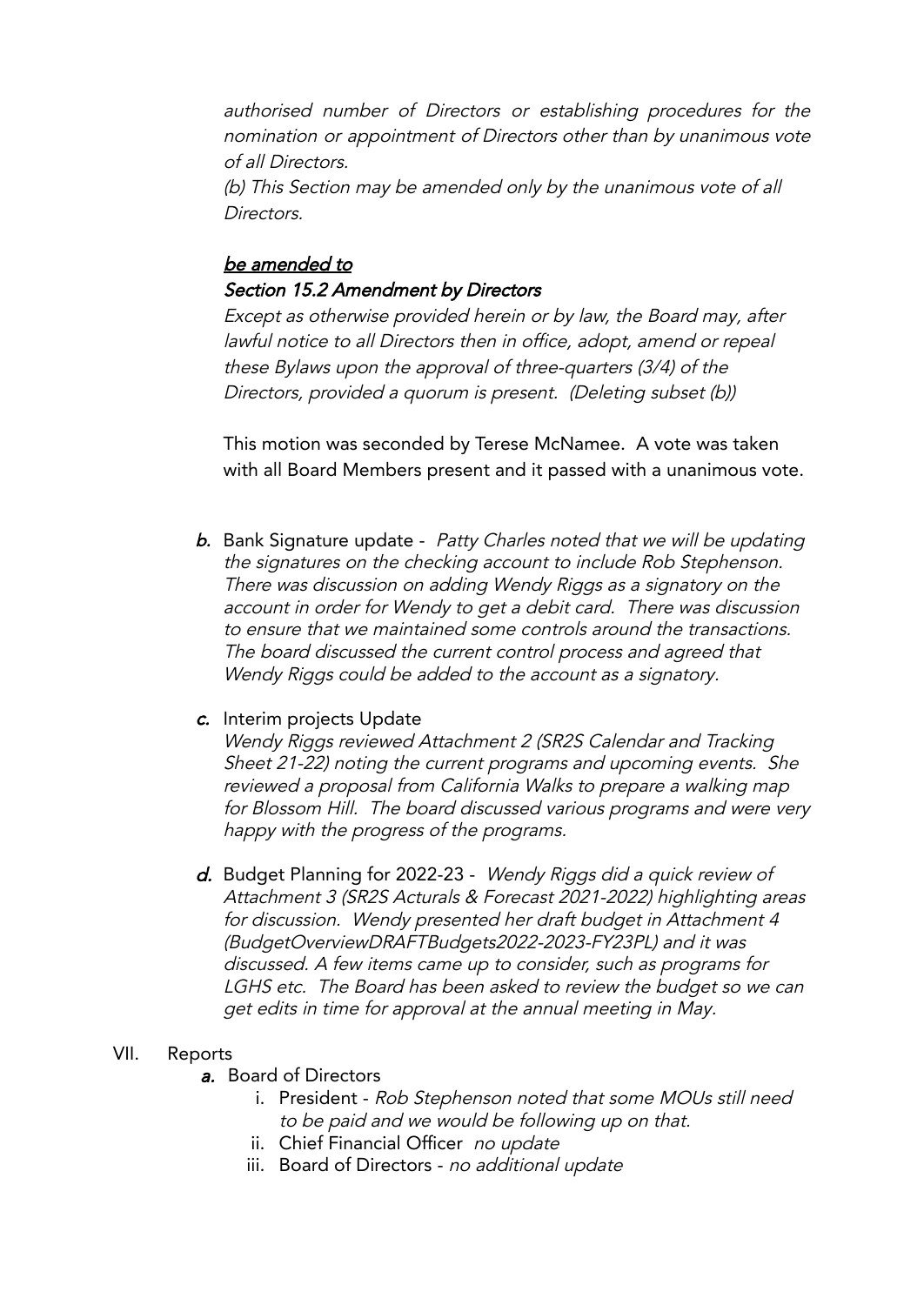authorised number of Directors or establishing procedures for the nomination or appointment of Directors other than by unanimous vote of all Directors.

(b) This Section may be amended only by the unanimous vote of all Directors.

# be amended to Section 15.2 Amendment by Directors

Except as otherwise provided herein or by law, the Board may, after lawful notice to all Directors then in office, adopt, amend or repeal these Bylaws upon the approval of three-quarters (3/4) of the Directors, provided <sup>a</sup> quorum is present. (Deleting subset (b))

This motion was seconded by Terese McNamee. A vote was taken with all Board Members present and it passed with a unanimous vote.

b. Bank Signature update - Patty Charles noted that we will be updating the signatures on the checking account to include Rob Stephenson. There was discussion on adding Wendy Riggs as <sup>a</sup> signatory on the account in order for Wendy to get <sup>a</sup> debit card. There was discussion to ensure that we maintained some controls around the transactions. The board discussed the current control process and agreed that Wendy Riggs could be added to the account as <sup>a</sup> signatory.

## c. Interim projects Update

Wendy Riggs reviewed Attachment 2 (SR2S Calendar and Tracking Sheet 21-22) noting the current programs and upcoming events. She reviewed <sup>a</sup> proposal from California Walks to prepare <sup>a</sup> walking map for Blossom Hill. The board discussed various programs and were very happy with the progress of the programs.

d. Budget Planning for 2022-23 - Wendy Riggs did a quick review of Attachment 3 (SR2S Acturals & Forecast 2021-2022) highlighting areas for discussion. Wendy presented her draft budget in Attachment <sup>4</sup> (BudgetOverviewDRAFTBudgets2022-2023-FY23PL) and it was discussed. <sup>A</sup> few items came up to consider, such as programs for LGHS etc. The Board has been asked to review the budget so we can get edits in time for approval at the annual meeting in May.

## VII. Reports

- a. Board of Directors
	- i. President Rob Stephenson noted that some MOUs still need to be paid and we would be following up on that.
	- ii. Chief Financial Officer no update
	- iii. Board of Directors no additional update